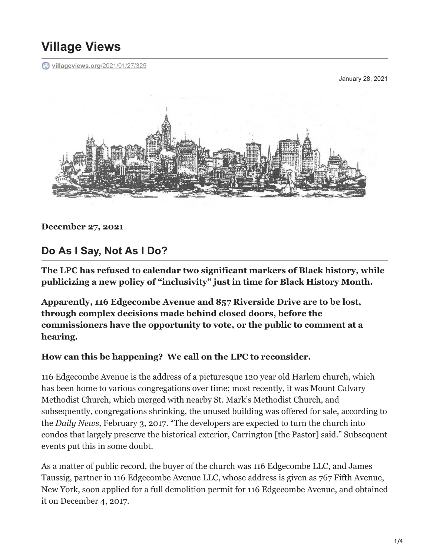## **Village Views**

**[villageviews.org](https://villageviews.org/2021/01/27/325/)**/2021/01/27/325

January 28, 2021



**December 27, 2021**

## **Do As I Say, Not As I Do?**

**The LPC has refused to calendar two significant markers of Black history, while publicizing a new policy of "inclusivity" just in time for Black History Month.**

**Apparently, 116 Edgecombe Avenue and 857 Riverside Drive are to be lost, through complex decisions made behind closed doors, before the commissioners have the opportunity to vote, or the public to comment at a hearing.**

## **How can this be happening? We call on the LPC to reconsider.**

116 Edgecombe Avenue is the address of a picturesque 120 year old Harlem church, which has been home to various congregations over time; most recently, it was Mount Calvary Methodist Church, which merged with nearby St. Mark's Methodist Church, and subsequently, congregations shrinking, the unused building was offered for sale, according to the *Daily News,* February 3, 2017. "The developers are expected to turn the church into condos that largely preserve the historical exterior, Carrington [the Pastor] said." Subsequent events put this in some doubt.

As a matter of public record, the buyer of the church was 116 Edgecombe LLC, and James Taussig, partner in 116 Edgecombe Avenue LLC, whose address is given as 767 Fifth Avenue, New York, soon applied for a full demolition permit for 116 Edgecombe Avenue, and obtained it on December 4, 2017.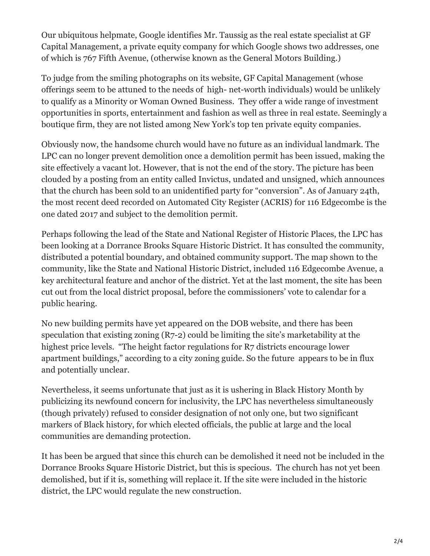Our ubiquitous helpmate, Google identifies Mr. Taussig as the real estate specialist at GF Capital Management, a private equity company for which Google shows two addresses, one of which is 767 Fifth Avenue, (otherwise known as the General Motors Building.)

To judge from the smiling photographs on its website, GF Capital Management (whose offerings seem to be attuned to the needs of high- net-worth individuals) would be unlikely to qualify as a Minority or Woman Owned Business. They offer a wide range of investment opportunities in sports, entertainment and fashion as well as three in real estate. Seemingly a boutique firm, they are not listed among New York's top ten private equity companies.

Obviously now, the handsome church would have no future as an individual landmark. The LPC can no longer prevent demolition once a demolition permit has been issued, making the site effectively a vacant lot. However, that is not the end of the story. The picture has been clouded by a posting from an entity called Invictus, undated and unsigned, which announces that the church has been sold to an unidentified party for "conversion". As of January 24th, the most recent deed recorded on Automated City Register (ACRIS) for 116 Edgecombe is the one dated 2017 and subject to the demolition permit.

Perhaps following the lead of the State and National Register of Historic Places, the LPC has been looking at a Dorrance Brooks Square Historic District. It has consulted the community, distributed a potential boundary, and obtained community support. The map shown to the community, like the State and National Historic District, included 116 Edgecombe Avenue, a key architectural feature and anchor of the district. Yet at the last moment, the site has been cut out from the local district proposal, before the commissioners' vote to calendar for a public hearing.

No new building permits have yet appeared on the DOB website, and there has been speculation that existing zoning (R7-2) could be limiting the site's marketability at the highest price levels. "The height factor regulations for R7 districts encourage lower apartment buildings," according to a city zoning guide. So the future appears to be in flux and potentially unclear.

Nevertheless, it seems unfortunate that just as it is ushering in Black History Month by publicizing its newfound concern for inclusivity, the LPC has nevertheless simultaneously (though privately) refused to consider designation of not only one, but two significant markers of Black history, for which elected officials, the public at large and the local communities are demanding protection.

It has been be argued that since this church can be demolished it need not be included in the Dorrance Brooks Square Historic District, but this is specious. The church has not yet been demolished, but if it is, something will replace it. If the site were included in the historic district, the LPC would regulate the new construction.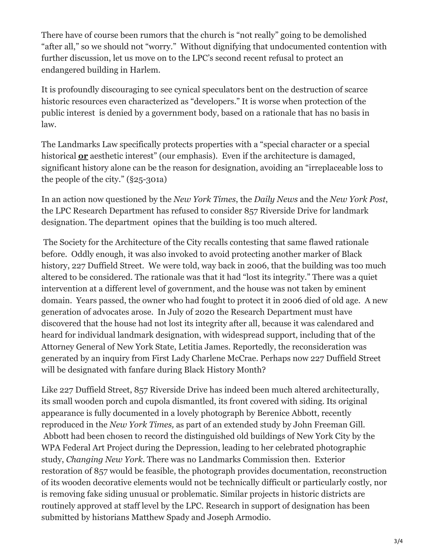There have of course been rumors that the church is "not really" going to be demolished "after all," so we should not "worry." Without dignifying that undocumented contention with further discussion, let us move on to the LPC's second recent refusal to protect an endangered building in Harlem.

It is profoundly discouraging to see cynical speculators bent on the destruction of scarce historic resources even characterized as "developers." It is worse when protection of the public interest is denied by a government body, based on a rationale that has no basis in law.

The Landmarks Law specifically protects properties with a "special character or a special historical **or** aesthetic interest" (our emphasis). Even if the architecture is damaged, significant history alone can be the reason for designation, avoiding an "irreplaceable loss to the people of the city." (§25-301a)

In an action now questioned by the *New York Times*, the *Daily News* and the *New York Post*, the LPC Research Department has refused to consider 857 Riverside Drive for landmark designation. The department opines that the building is too much altered.

 The Society for the Architecture of the City recalls contesting that same flawed rationale before. Oddly enough, it was also invoked to avoid protecting another marker of Black history, 227 Duffield Street. We were told, way back in 2006, that the building was too much altered to be considered. The rationale was that it had "lost its integrity." There was a quiet intervention at a different level of government, and the house was not taken by eminent domain. Years passed, the owner who had fought to protect it in 2006 died of old age. A new generation of advocates arose. In July of 2020 the Research Department must have discovered that the house had not lost its integrity after all, because it was calendared and heard for individual landmark designation, with widespread support, including that of the Attorney General of New York State, Letitia James. Reportedly, the reconsideration was generated by an inquiry from First Lady Charlene McCrae. Perhaps now 227 Duffield Street will be designated with fanfare during Black History Month?

Like 227 Duffield Street, 857 Riverside Drive has indeed been much altered architecturally, its small wooden porch and cupola dismantled, its front covered with siding. Its original appearance is fully documented in a lovely photograph by Berenice Abbott, recently reproduced in the *New York Times,* as part of an extended study by John Freeman Gill*.* Abbott had been chosen to record the distinguished old buildings of New York City by the WPA Federal Art Project during the Depression, leading to her celebrated photographic study, *Changing New York*. There was no Landmarks Commission then. Exterior restoration of 857 would be feasible, the photograph provides documentation, reconstruction of its wooden decorative elements would not be technically difficult or particularly costly, nor is removing fake siding unusual or problematic. Similar projects in historic districts are routinely approved at staff level by the LPC. Research in support of designation has been submitted by historians Matthew Spady and Joseph Armodio.